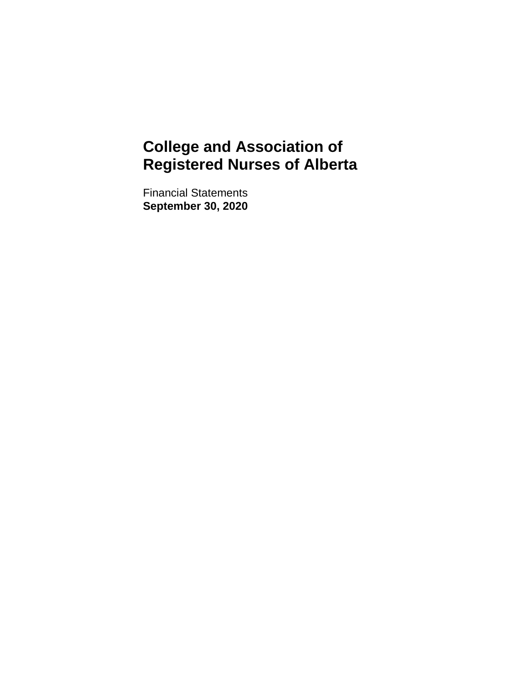Financial Statements **September 30, 2020**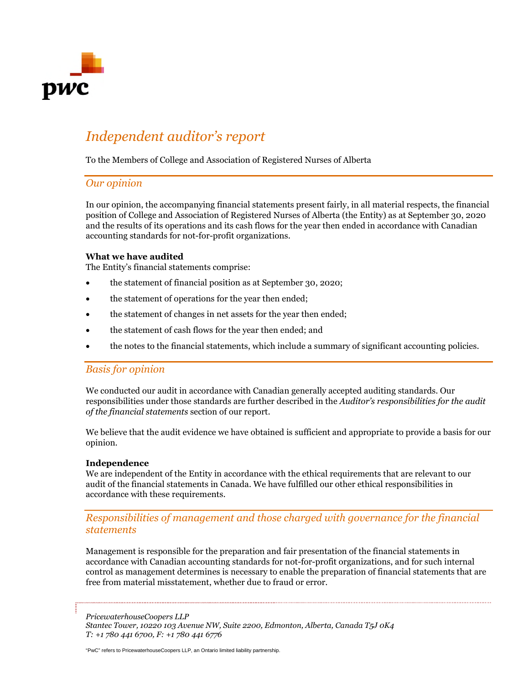

# *Independent auditor's report*

To the Members of College and Association of Registered Nurses of Alberta

## *Our opinion*

In our opinion, the accompanying financial statements present fairly, in all material respects, the financial position of College and Association of Registered Nurses of Alberta (the Entity) as at September 30, 2020 and the results of its operations and its cash flows for the year then ended in accordance with Canadian accounting standards for not-for-profit organizations.

#### **What we have audited**

The Entity's financial statements comprise:

- the statement of financial position as at September 30, 2020;
- the statement of operations for the year then ended;
- the statement of changes in net assets for the year then ended;
- the statement of cash flows for the year then ended; and
- the notes to the financial statements, which include a summary of significant accounting policies.

## *Basis for opinion*

We conducted our audit in accordance with Canadian generally accepted auditing standards. Our responsibilities under those standards are further described in the *Auditor's responsibilities for the audit of the financial statements* section of our report.

We believe that the audit evidence we have obtained is sufficient and appropriate to provide a basis for our opinion.

#### **Independence**

We are independent of the Entity in accordance with the ethical requirements that are relevant to our audit of the financial statements in Canada. We have fulfilled our other ethical responsibilities in accordance with these requirements.

## *Responsibilities of management and those charged with governance for the financial statements*

Management is responsible for the preparation and fair presentation of the financial statements in accordance with Canadian accounting standards for not-for-profit organizations, and for such internal control as management determines is necessary to enable the preparation of financial statements that are free from material misstatement, whether due to fraud or error.

*PricewaterhouseCoopers LLP Stantec Tower, 10220 103 Avenue NW, Suite 2200, Edmonton, Alberta, Canada T5J 0K4 T: +1 780 441 6700, F: +1 780 441 6776*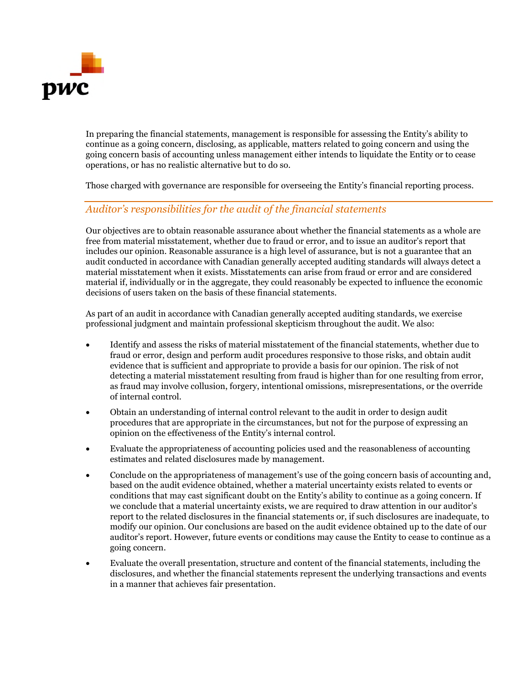

In preparing the financial statements, management is responsible for assessing the Entity's ability to continue as a going concern, disclosing, as applicable, matters related to going concern and using the going concern basis of accounting unless management either intends to liquidate the Entity or to cease operations, or has no realistic alternative but to do so.

Those charged with governance are responsible for overseeing the Entity's financial reporting process.

## *Auditor's responsibilities for the audit of the financial statements*

Our objectives are to obtain reasonable assurance about whether the financial statements as a whole are free from material misstatement, whether due to fraud or error, and to issue an auditor's report that includes our opinion. Reasonable assurance is a high level of assurance, but is not a guarantee that an audit conducted in accordance with Canadian generally accepted auditing standards will always detect a material misstatement when it exists. Misstatements can arise from fraud or error and are considered material if, individually or in the aggregate, they could reasonably be expected to influence the economic decisions of users taken on the basis of these financial statements.

As part of an audit in accordance with Canadian generally accepted auditing standards, we exercise professional judgment and maintain professional skepticism throughout the audit. We also:

- Identify and assess the risks of material misstatement of the financial statements, whether due to fraud or error, design and perform audit procedures responsive to those risks, and obtain audit evidence that is sufficient and appropriate to provide a basis for our opinion. The risk of not detecting a material misstatement resulting from fraud is higher than for one resulting from error, as fraud may involve collusion, forgery, intentional omissions, misrepresentations, or the override of internal control.
- Obtain an understanding of internal control relevant to the audit in order to design audit procedures that are appropriate in the circumstances, but not for the purpose of expressing an opinion on the effectiveness of the Entity's internal control.
- Evaluate the appropriateness of accounting policies used and the reasonableness of accounting estimates and related disclosures made by management.
- Conclude on the appropriateness of management's use of the going concern basis of accounting and, based on the audit evidence obtained, whether a material uncertainty exists related to events or conditions that may cast significant doubt on the Entity's ability to continue as a going concern. If we conclude that a material uncertainty exists, we are required to draw attention in our auditor's report to the related disclosures in the financial statements or, if such disclosures are inadequate, to modify our opinion. Our conclusions are based on the audit evidence obtained up to the date of our auditor's report. However, future events or conditions may cause the Entity to cease to continue as a going concern.
- Evaluate the overall presentation, structure and content of the financial statements, including the disclosures, and whether the financial statements represent the underlying transactions and events in a manner that achieves fair presentation.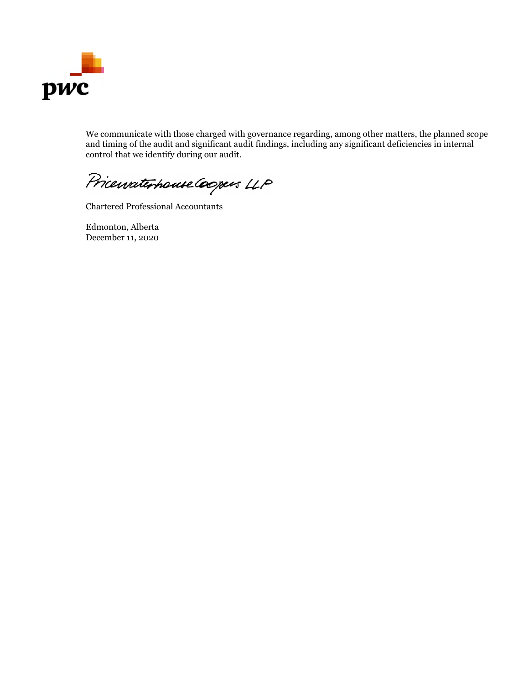

We communicate with those charged with governance regarding, among other matters, the planned scope and timing of the audit and significant audit findings, including any significant deficiencies in internal control that we identify during our audit.

Pricewaterhouse Coopers LLP

Chartered Professional Accountants

Edmonton, Alberta December 11, 2020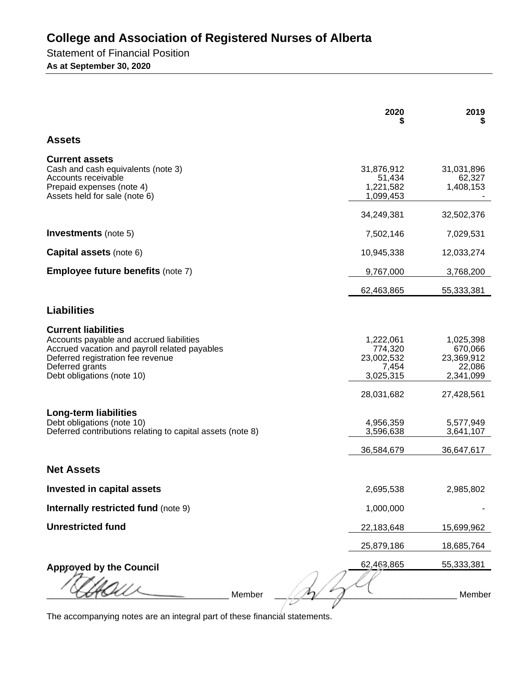Statement of Financial Position **As at September 30, 2020**

|                                                                                                                                                                                                               | 2020                                                     | 2019<br>5                                                 |
|---------------------------------------------------------------------------------------------------------------------------------------------------------------------------------------------------------------|----------------------------------------------------------|-----------------------------------------------------------|
| <b>Assets</b>                                                                                                                                                                                                 |                                                          |                                                           |
| <b>Current assets</b><br>Cash and cash equivalents (note 3)<br>Accounts receivable<br>Prepaid expenses (note 4)<br>Assets held for sale (note 6)                                                              | 31,876,912<br>51,434<br>1,221,582<br>1,099,453           | 31,031,896<br>62,327<br>1,408,153                         |
|                                                                                                                                                                                                               | 34,249,381                                               | 32,502,376                                                |
| <b>Investments</b> (note 5)                                                                                                                                                                                   | 7,502,146                                                | 7,029,531                                                 |
| <b>Capital assets (note 6)</b>                                                                                                                                                                                | 10,945,338                                               | 12,033,274                                                |
| <b>Employee future benefits (note 7)</b>                                                                                                                                                                      | 9,767,000                                                | 3,768,200                                                 |
|                                                                                                                                                                                                               | 62,463,865                                               | 55,333,381                                                |
| <b>Liabilities</b>                                                                                                                                                                                            |                                                          |                                                           |
| <b>Current liabilities</b><br>Accounts payable and accrued liabilities<br>Accrued vacation and payroll related payables<br>Deferred registration fee revenue<br>Deferred grants<br>Debt obligations (note 10) | 1,222,061<br>774,320<br>23,002,532<br>7,454<br>3,025,315 | 1,025,398<br>670,066<br>23,369,912<br>22,086<br>2,341,099 |
| <b>Long-term liabilities</b><br>Debt obligations (note 10)<br>Deferred contributions relating to capital assets (note 8)                                                                                      | 28,031,682<br>4,956,359<br>3,596,638                     | 27,428,561<br>5,577,949<br>3,641,107                      |
|                                                                                                                                                                                                               | 36,584,679                                               | 36,647,617                                                |
| <b>Net Assets</b>                                                                                                                                                                                             |                                                          |                                                           |
| Invested in capital assets                                                                                                                                                                                    | 2,695,538                                                | 2,985,802                                                 |
| Internally restricted fund (note 9)                                                                                                                                                                           | 1,000,000                                                |                                                           |
| <b>Unrestricted fund</b>                                                                                                                                                                                      | 22,183,648                                               | 15,699,962                                                |
|                                                                                                                                                                                                               | 25,879,186                                               | 18,685,764                                                |
| <b>Approved by the Council</b>                                                                                                                                                                                | 62,463,865                                               | 55,333,381                                                |
| Member                                                                                                                                                                                                        |                                                          | Member                                                    |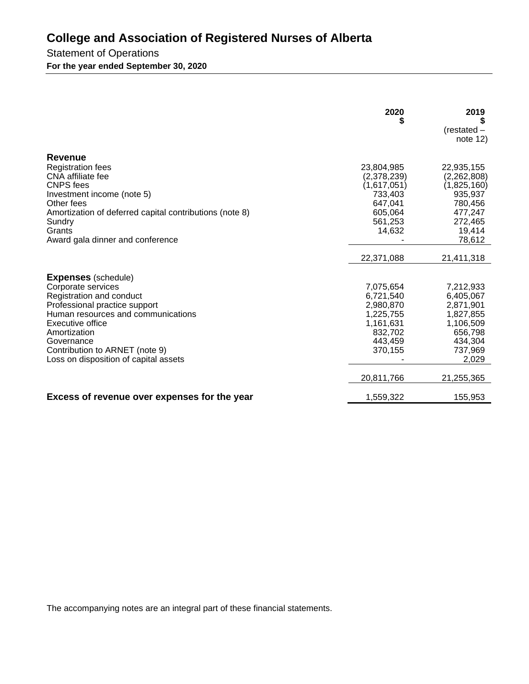# Statement of Operations

**For the year ended September 30, 2020** 

|                                                                                                                                                                                                                                                                                  | 2020                                                                                           | 2019<br>5<br>$(restated -$<br>note $12$ )                                                                |
|----------------------------------------------------------------------------------------------------------------------------------------------------------------------------------------------------------------------------------------------------------------------------------|------------------------------------------------------------------------------------------------|----------------------------------------------------------------------------------------------------------|
| Revenue<br><b>Registration fees</b><br>CNA affiliate fee<br><b>CNPS</b> fees<br>Investment income (note 5)<br>Other fees<br>Amortization of deferred capital contributions (note 8)<br>Sundry<br>Grants<br>Award gala dinner and conference                                      | 23,804,985<br>(2,378,239)<br>(1,617,051)<br>733,403<br>647,041<br>605,064<br>561,253<br>14,632 | 22,935,155<br>(2,262,808)<br>(1,825,160)<br>935,937<br>780,456<br>477,247<br>272,465<br>19,414<br>78,612 |
|                                                                                                                                                                                                                                                                                  | 22,371,088                                                                                     | 21,411,318                                                                                               |
| <b>Expenses</b> (schedule)<br>Corporate services<br>Registration and conduct<br>Professional practice support<br>Human resources and communications<br>Executive office<br>Amortization<br>Governance<br>Contribution to ARNET (note 9)<br>Loss on disposition of capital assets | 7,075,654<br>6,721,540<br>2,980,870<br>1,225,755<br>1,161,631<br>832,702<br>443.459<br>370,155 | 7,212,933<br>6,405,067<br>2,871,901<br>1,827,855<br>1,106,509<br>656,798<br>434,304<br>737.969<br>2,029  |
|                                                                                                                                                                                                                                                                                  | 20,811,766                                                                                     | 21,255,365                                                                                               |
| Excess of revenue over expenses for the year                                                                                                                                                                                                                                     | 1,559,322                                                                                      | 155,953                                                                                                  |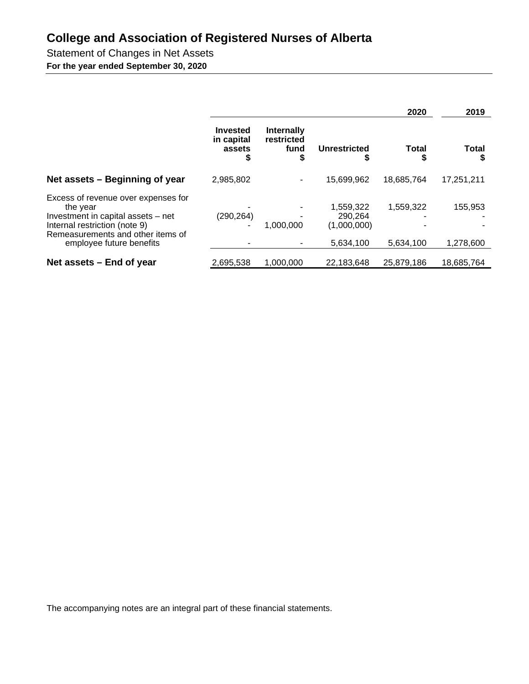Statement of Changes in Net Assets

**For the year ended September 30, 2020** 

|                                                                                                                                                                                         |                                       |                                              |                                                  | 2020                   | 2019                 |
|-----------------------------------------------------------------------------------------------------------------------------------------------------------------------------------------|---------------------------------------|----------------------------------------------|--------------------------------------------------|------------------------|----------------------|
|                                                                                                                                                                                         | Invested<br>in capital<br>assets<br>S | <b>Internally</b><br>restricted<br>fund<br>S | Unrestricted<br>C                                | Total<br>S             | <b>Total</b>         |
| Net assets – Beginning of year                                                                                                                                                          | 2,985,802                             |                                              | 15,699,962                                       | 18,685,764             | 17,251,211           |
| Excess of revenue over expenses for<br>the year<br>Investment in capital assets - net<br>Internal restriction (note 9)<br>Remeasurements and other items of<br>employee future benefits | (290, 264)                            | 1,000,000                                    | 1,559,322<br>290.264<br>(1,000,000)<br>5,634,100 | 1,559,322<br>5.634.100 | 155,953<br>1,278,600 |
| Net assets – End of year                                                                                                                                                                | 2,695,538                             | 1,000,000                                    | 22,183,648                                       | 25,879,186             | 18,685,764           |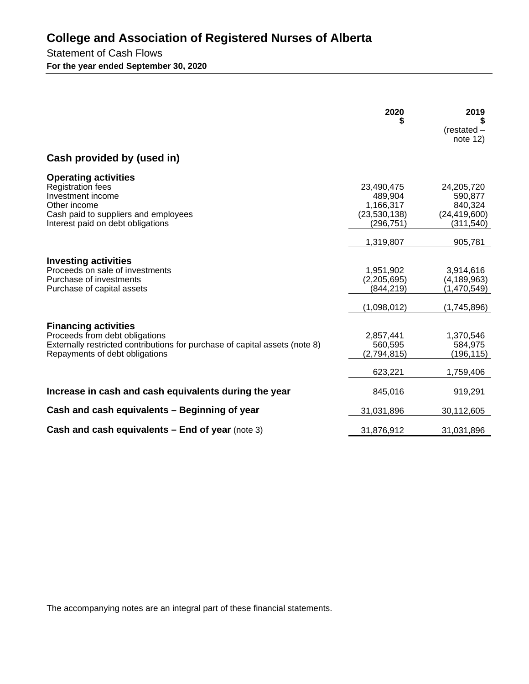Statement of Cash Flows **For the year ended September 30, 2020** 

|                                                                                                                                                                                | 2020<br>æ.                                                      | 2019<br>P<br>$(restated -$<br>note $12$ )                        |
|--------------------------------------------------------------------------------------------------------------------------------------------------------------------------------|-----------------------------------------------------------------|------------------------------------------------------------------|
| Cash provided by (used in)                                                                                                                                                     |                                                                 |                                                                  |
| <b>Operating activities</b><br><b>Registration fees</b><br>Investment income<br>Other income<br>Cash paid to suppliers and employees<br>Interest paid on debt obligations      | 23,490,475<br>489,904<br>1,166,317<br>(23,530,138)<br>(296,751) | 24,205,720<br>590,877<br>840,324<br>(24, 419, 600)<br>(311, 540) |
|                                                                                                                                                                                | 1,319,807                                                       | 905,781                                                          |
| <b>Investing activities</b><br>Proceeds on sale of investments<br>Purchase of investments<br>Purchase of capital assets                                                        | 1,951,902<br>(2,205,695)<br>(844, 219)<br>(1,098,012)           | 3,914,616<br>(4, 189, 963)<br>(1,470,549)<br>(1,745,896)         |
| <b>Financing activities</b><br>Proceeds from debt obligations<br>Externally restricted contributions for purchase of capital assets (note 8)<br>Repayments of debt obligations | 2,857,441<br>560.595<br>(2,794,815)<br>623,221                  | 1,370,546<br>584,975<br>(196,115)<br>1,759,406                   |
| Increase in cash and cash equivalents during the year                                                                                                                          | 845,016                                                         | 919,291                                                          |
| Cash and cash equivalents – Beginning of year                                                                                                                                  | 31,031,896                                                      | 30,112,605                                                       |
| Cash and cash equivalents $-$ End of year (note 3)                                                                                                                             | 31,876,912                                                      | 31,031,896                                                       |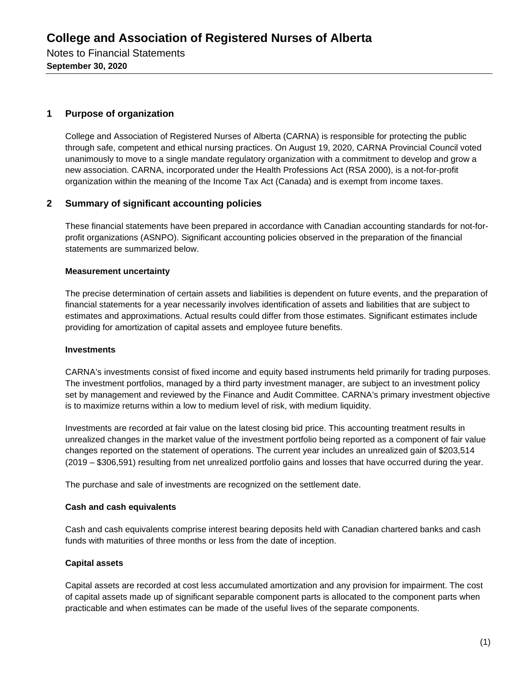### **1 Purpose of organization**

College and Association of Registered Nurses of Alberta (CARNA) is responsible for protecting the public through safe, competent and ethical nursing practices. On August 19, 2020, CARNA Provincial Council voted unanimously to move to a single mandate regulatory organization with a commitment to develop and grow a new association. CARNA, incorporated under the Health Professions Act (RSA 2000), is a not-for-profit organization within the meaning of the Income Tax Act (Canada) and is exempt from income taxes.

#### **2 Summary of significant accounting policies**

These financial statements have been prepared in accordance with Canadian accounting standards for not-forprofit organizations (ASNPO). Significant accounting policies observed in the preparation of the financial statements are summarized below.

#### **Measurement uncertainty**

The precise determination of certain assets and liabilities is dependent on future events, and the preparation of financial statements for a year necessarily involves identification of assets and liabilities that are subject to estimates and approximations. Actual results could differ from those estimates. Significant estimates include providing for amortization of capital assets and employee future benefits.

#### **Investments**

CARNA's investments consist of fixed income and equity based instruments held primarily for trading purposes. The investment portfolios, managed by a third party investment manager, are subject to an investment policy set by management and reviewed by the Finance and Audit Committee. CARNA's primary investment objective is to maximize returns within a low to medium level of risk, with medium liquidity.

Investments are recorded at fair value on the latest closing bid price. This accounting treatment results in unrealized changes in the market value of the investment portfolio being reported as a component of fair value changes reported on the statement of operations. The current year includes an unrealized gain of \$203,514 (2019 – \$306,591) resulting from net unrealized portfolio gains and losses that have occurred during the year.

The purchase and sale of investments are recognized on the settlement date.

#### **Cash and cash equivalents**

Cash and cash equivalents comprise interest bearing deposits held with Canadian chartered banks and cash funds with maturities of three months or less from the date of inception.

#### **Capital assets**

Capital assets are recorded at cost less accumulated amortization and any provision for impairment. The cost of capital assets made up of significant separable component parts is allocated to the component parts when practicable and when estimates can be made of the useful lives of the separate components.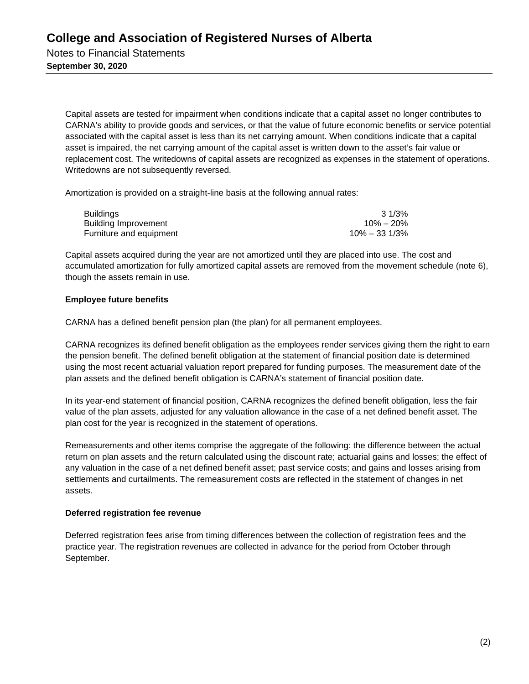> Capital assets are tested for impairment when conditions indicate that a capital asset no longer contributes to CARNA's ability to provide goods and services, or that the value of future economic benefits or service potential associated with the capital asset is less than its net carrying amount. When conditions indicate that a capital asset is impaired, the net carrying amount of the capital asset is written down to the asset's fair value or replacement cost. The writedowns of capital assets are recognized as expenses in the statement of operations. Writedowns are not subsequently reversed.

Amortization is provided on a straight-line basis at the following annual rates:

| <b>Buildings</b>        | $31/3\%$                 |
|-------------------------|--------------------------|
| Building Improvement    | $10\% - 20\%$            |
| Furniture and equipment | $10\% - 33\frac{1}{3}\%$ |

Capital assets acquired during the year are not amortized until they are placed into use. The cost and accumulated amortization for fully amortized capital assets are removed from the movement schedule (note 6), though the assets remain in use.

## **Employee future benefits**

CARNA has a defined benefit pension plan (the plan) for all permanent employees.

CARNA recognizes its defined benefit obligation as the employees render services giving them the right to earn the pension benefit. The defined benefit obligation at the statement of financial position date is determined using the most recent actuarial valuation report prepared for funding purposes. The measurement date of the plan assets and the defined benefit obligation is CARNA's statement of financial position date.

In its year-end statement of financial position, CARNA recognizes the defined benefit obligation, less the fair value of the plan assets, adjusted for any valuation allowance in the case of a net defined benefit asset. The plan cost for the year is recognized in the statement of operations.

Remeasurements and other items comprise the aggregate of the following: the difference between the actual return on plan assets and the return calculated using the discount rate; actuarial gains and losses; the effect of any valuation in the case of a net defined benefit asset; past service costs; and gains and losses arising from settlements and curtailments. The remeasurement costs are reflected in the statement of changes in net assets.

#### **Deferred registration fee revenue**

Deferred registration fees arise from timing differences between the collection of registration fees and the practice year. The registration revenues are collected in advance for the period from October through September.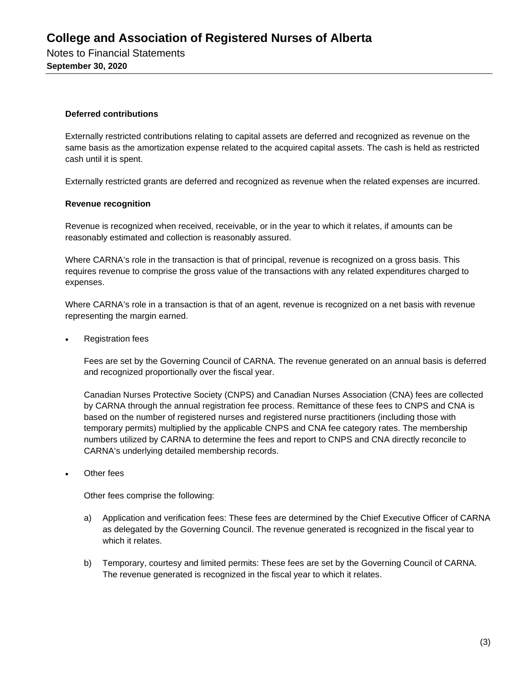#### **Deferred contributions**

Externally restricted contributions relating to capital assets are deferred and recognized as revenue on the same basis as the amortization expense related to the acquired capital assets. The cash is held as restricted cash until it is spent.

Externally restricted grants are deferred and recognized as revenue when the related expenses are incurred.

#### **Revenue recognition**

Revenue is recognized when received, receivable, or in the year to which it relates, if amounts can be reasonably estimated and collection is reasonably assured.

Where CARNA's role in the transaction is that of principal, revenue is recognized on a gross basis. This requires revenue to comprise the gross value of the transactions with any related expenditures charged to expenses.

Where CARNA's role in a transaction is that of an agent, revenue is recognized on a net basis with revenue representing the margin earned.

Registration fees

Fees are set by the Governing Council of CARNA. The revenue generated on an annual basis is deferred and recognized proportionally over the fiscal year.

Canadian Nurses Protective Society (CNPS) and Canadian Nurses Association (CNA) fees are collected by CARNA through the annual registration fee process. Remittance of these fees to CNPS and CNA is based on the number of registered nurses and registered nurse practitioners (including those with temporary permits) multiplied by the applicable CNPS and CNA fee category rates. The membership numbers utilized by CARNA to determine the fees and report to CNPS and CNA directly reconcile to CARNA's underlying detailed membership records.

Other fees

Other fees comprise the following:

- a) Application and verification fees: These fees are determined by the Chief Executive Officer of CARNA as delegated by the Governing Council. The revenue generated is recognized in the fiscal year to which it relates.
- b) Temporary, courtesy and limited permits: These fees are set by the Governing Council of CARNA. The revenue generated is recognized in the fiscal year to which it relates.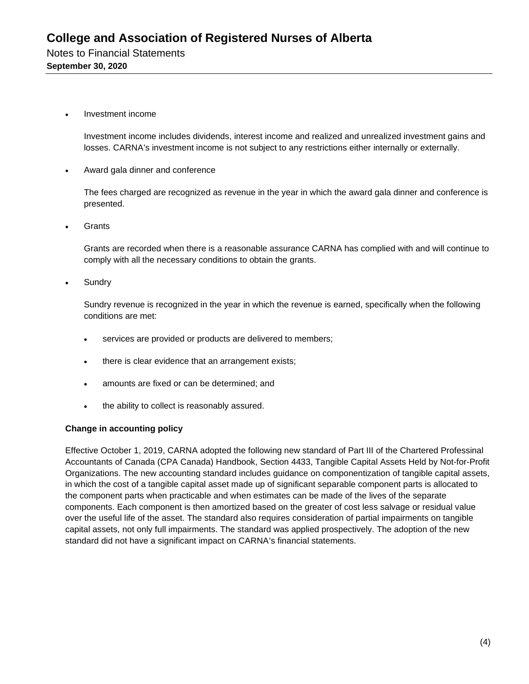• Investment income

Investment income includes dividends, interest income and realized and unrealized investment gains and losses. CARNA's investment income is not subject to any restrictions either internally or externally.

Award gala dinner and conference

The fees charged are recognized as revenue in the year in which the award gala dinner and conference is presented.

Grants

Grants are recorded when there is a reasonable assurance CARNA has complied with and will continue to comply with all the necessary conditions to obtain the grants.

• Sundry

Sundry revenue is recognized in the year in which the revenue is earned, specifically when the following conditions are met:

- services are provided or products are delivered to members;
- there is clear evidence that an arrangement exists;
- amounts are fixed or can be determined; and
- the ability to collect is reasonably assured.

#### **Change in accounting policy**

Effective October 1, 2019, CARNA adopted the following new standard of Part III of the Chartered Professinal Accountants of Canada (CPA Canada) Handbook, Section 4433, Tangible Capital Assets Held by Not-for-Profit Organizations. The new accounting standard includes guidance on componentization of tangible capital assets, in which the cost of a tangible capital asset made up of significant separable component parts is allocated to the component parts when practicable and when estimates can be made of the lives of the separate components. Each component is then amortized based on the greater of cost less salvage or residual value over the useful life of the asset. The standard also requires consideration of partial impairments on tangible capital assets, not only full impairments. The standard was applied prospectively. The adoption of the new standard did not have a significant impact on CARNA's financial statements.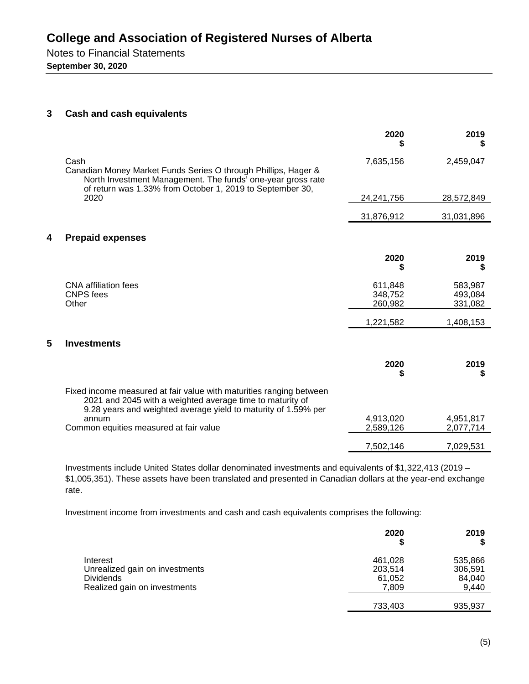## **3 Cash and cash equivalents**

|   |                                                                                                                                                                                                    | 2020                          | 2019                          |
|---|----------------------------------------------------------------------------------------------------------------------------------------------------------------------------------------------------|-------------------------------|-------------------------------|
|   | Cash<br>Canadian Money Market Funds Series O through Phillips, Hager &<br>North Investment Management. The funds' one-year gross rate<br>of return was 1.33% from October 1, 2019 to September 30, | 7,635,156                     | 2,459,047                     |
|   | 2020                                                                                                                                                                                               | 24,241,756                    | 28,572,849                    |
|   |                                                                                                                                                                                                    | 31,876,912                    | 31,031,896                    |
| 4 | <b>Prepaid expenses</b>                                                                                                                                                                            |                               |                               |
|   |                                                                                                                                                                                                    | 2020<br>\$                    | 2019<br>\$                    |
|   | CNA affiliation fees<br><b>CNPS</b> fees<br>Other                                                                                                                                                  | 611,848<br>348,752<br>260,982 | 583,987<br>493,084<br>331,082 |
|   |                                                                                                                                                                                                    | 1,221,582                     | 1,408,153                     |
| 5 | <b>Investments</b>                                                                                                                                                                                 |                               |                               |
|   |                                                                                                                                                                                                    | 2020<br>S                     | 2019<br>\$                    |
|   | Fixed income measured at fair value with maturities ranging between<br>2021 and 2045 with a weighted average time to maturity of<br>9.28 years and weighted average yield to maturity of 1.59% per |                               |                               |
|   | annum                                                                                                                                                                                              | 4,913,020                     | 4,951,817                     |
|   | Common equities measured at fair value                                                                                                                                                             | 2,589,126                     | 2,077,714                     |
|   |                                                                                                                                                                                                    | 7,502,146                     | 7,029,531                     |

Investments include United States dollar denominated investments and equivalents of \$1,322,413 (2019 – \$1,005,351). These assets have been translated and presented in Canadian dollars at the year-end exchange rate.

Investment income from investments and cash and cash equivalents comprises the following:

|                                                                                         | 2020<br>\$                            | 2019                                  |
|-----------------------------------------------------------------------------------------|---------------------------------------|---------------------------------------|
| Interest<br>Unrealized gain on investments<br>Dividends<br>Realized gain on investments | 461,028<br>203,514<br>61,052<br>7,809 | 535,866<br>306,591<br>84,040<br>9,440 |
|                                                                                         | 733,403                               | 935,937                               |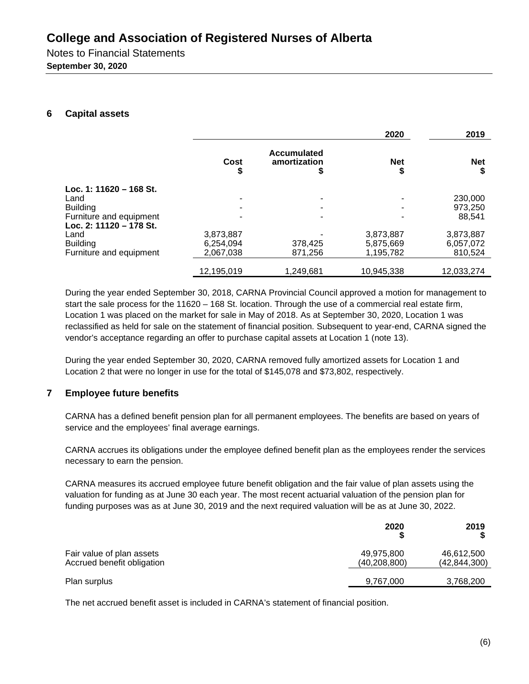## **6 Capital assets**

|                           |            |                                   | 2020             | 2019            |
|---------------------------|------------|-----------------------------------|------------------|-----------------|
|                           | Cost<br>\$ | Accumulated<br>amortization<br>\$ | <b>Net</b><br>\$ | <b>Net</b><br>S |
| Loc. 1: $11620 - 168$ St. |            |                                   |                  |                 |
| Land                      |            |                                   |                  | 230,000         |
| <b>Building</b>           |            |                                   |                  | 973,250         |
| Furniture and equipment   |            |                                   |                  | 88.541          |
| Loc. 2: 11120 - 178 St.   |            |                                   |                  |                 |
| Land                      | 3,873,887  |                                   | 3,873,887        | 3,873,887       |
| <b>Building</b>           | 6,254,094  | 378,425                           | 5,875,669        | 6,057,072       |
| Furniture and equipment   | 2,067,038  | 871,256                           | 1,195,782        | 810,524         |
|                           | 12,195,019 | 1,249,681                         | 10.945.338       | 12,033,274      |

During the year ended September 30, 2018, CARNA Provincial Council approved a motion for management to start the sale process for the 11620 – 168 St. location. Through the use of a commercial real estate firm, Location 1 was placed on the market for sale in May of 2018. As at September 30, 2020, Location 1 was reclassified as held for sale on the statement of financial position. Subsequent to year-end, CARNA signed the vendor's acceptance regarding an offer to purchase capital assets at Location 1 (note 13).

During the year ended September 30, 2020, CARNA removed fully amortized assets for Location 1 and Location 2 that were no longer in use for the total of \$145,078 and \$73,802, respectively.

## **7 Employee future benefits**

CARNA has a defined benefit pension plan for all permanent employees. The benefits are based on years of service and the employees' final average earnings.

CARNA accrues its obligations under the employee defined benefit plan as the employees render the services necessary to earn the pension.

CARNA measures its accrued employee future benefit obligation and the fair value of plan assets using the valuation for funding as at June 30 each year. The most recent actuarial valuation of the pension plan for funding purposes was as at June 30, 2019 and the next required valuation will be as at June 30, 2022.

|                                                         | 2020                         | 2019                         |
|---------------------------------------------------------|------------------------------|------------------------------|
| Fair value of plan assets<br>Accrued benefit obligation | 49,975,800<br>(40, 208, 800) | 46,612,500<br>(42, 844, 300) |
| Plan surplus                                            | 9,767,000                    | 3,768,200                    |

The net accrued benefit asset is included in CARNA's statement of financial position.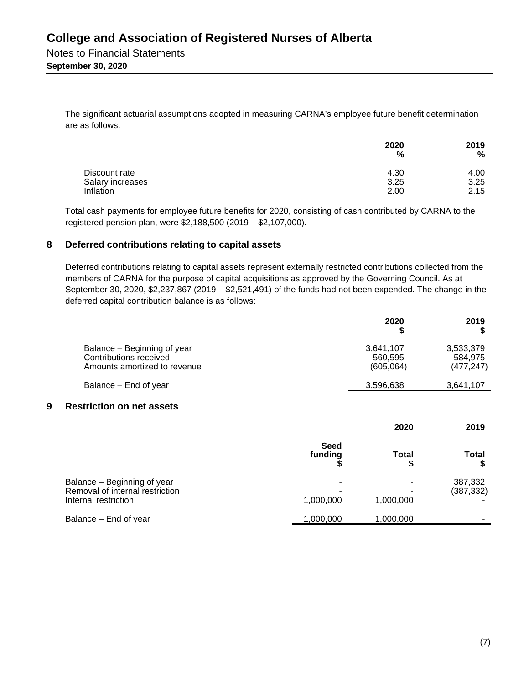> The significant actuarial assumptions adopted in measuring CARNA's employee future benefit determination are as follows:

|                  | 2020 | 2019 |
|------------------|------|------|
|                  | %    | %    |
| Discount rate    | 4.30 | 4.00 |
| Salary increases | 3.25 | 3.25 |
| Inflation        | 2.00 | 2.15 |

Total cash payments for employee future benefits for 2020, consisting of cash contributed by CARNA to the registered pension plan, were \$2,188,500 (2019 – \$2,107,000).

#### **8 Deferred contributions relating to capital assets**

Deferred contributions relating to capital assets represent externally restricted contributions collected from the members of CARNA for the purpose of capital acquisitions as approved by the Governing Council. As at September 30, 2020, \$2,237,867 (2019 – \$2,521,491) of the funds had not been expended. The change in the deferred capital contribution balance is as follows:

|                                                                                       | 2020                              | 2019                              |
|---------------------------------------------------------------------------------------|-----------------------------------|-----------------------------------|
| Balance – Beginning of year<br>Contributions received<br>Amounts amortized to revenue | 3,641,107<br>560,595<br>(605,064) | 3,533,379<br>584,975<br>(477,247) |
| Balance – End of year                                                                 | 3,596,638                         | 3,641,107                         |

#### **9 Restriction on net assets**

|                                                                                        |                        | 2020              | 2019                  |
|----------------------------------------------------------------------------------------|------------------------|-------------------|-----------------------|
|                                                                                        | <b>Seed</b><br>funding | <b>Total</b><br>S | Total                 |
| Balance – Beginning of year<br>Removal of internal restriction<br>Internal restriction | ۰<br>-<br>1,000,000    | 1,000,000         | 387,332<br>(387, 332) |
| Balance - End of year                                                                  | 1,000,000              | 1,000,000         |                       |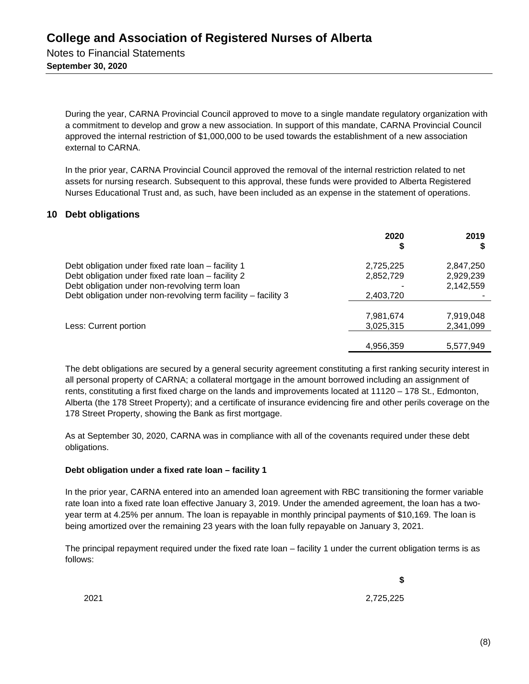> During the year, CARNA Provincial Council approved to move to a single mandate regulatory organization with a commitment to develop and grow a new association. In support of this mandate, CARNA Provincial Council approved the internal restriction of \$1,000,000 to be used towards the establishment of a new association external to CARNA.

In the prior year, CARNA Provincial Council approved the removal of the internal restriction related to net assets for nursing research. Subsequent to this approval, these funds were provided to Alberta Registered Nurses Educational Trust and, as such, have been included as an expense in the statement of operations.

## **10 Debt obligations**

|                                                                                                                                                                                                                             | 2020      | 2019      |
|-----------------------------------------------------------------------------------------------------------------------------------------------------------------------------------------------------------------------------|-----------|-----------|
| Debt obligation under fixed rate loan – facility 1<br>Debt obligation under fixed rate loan - facility 2<br>Debt obligation under non-revolving term loan<br>Debt obligation under non-revolving term facility - facility 3 | 2,725,225 | 2,847,250 |
|                                                                                                                                                                                                                             | 2,852,729 | 2,929,239 |
|                                                                                                                                                                                                                             |           | 2,142,559 |
|                                                                                                                                                                                                                             | 2,403,720 |           |
|                                                                                                                                                                                                                             | 7,981,674 | 7,919,048 |
| Less: Current portion                                                                                                                                                                                                       | 3,025,315 | 2,341,099 |
|                                                                                                                                                                                                                             |           |           |
|                                                                                                                                                                                                                             | 4,956,359 | 5,577,949 |

The debt obligations are secured by a general security agreement constituting a first ranking security interest in all personal property of CARNA; a collateral mortgage in the amount borrowed including an assignment of rents, constituting a first fixed charge on the lands and improvements located at 11120 – 178 St., Edmonton, Alberta (the 178 Street Property); and a certificate of insurance evidencing fire and other perils coverage on the 178 Street Property, showing the Bank as first mortgage.

As at September 30, 2020, CARNA was in compliance with all of the covenants required under these debt obligations.

#### **Debt obligation under a fixed rate loan – facility 1**

In the prior year, CARNA entered into an amended loan agreement with RBC transitioning the former variable rate loan into a fixed rate loan effective January 3, 2019. Under the amended agreement, the loan has a twoyear term at 4.25% per annum. The loan is repayable in monthly principal payments of \$10,169. The loan is being amortized over the remaining 23 years with the loan fully repayable on January 3, 2021.

The principal repayment required under the fixed rate loan – facility 1 under the current obligation terms is as follows:

2021 2,725,225

**\$**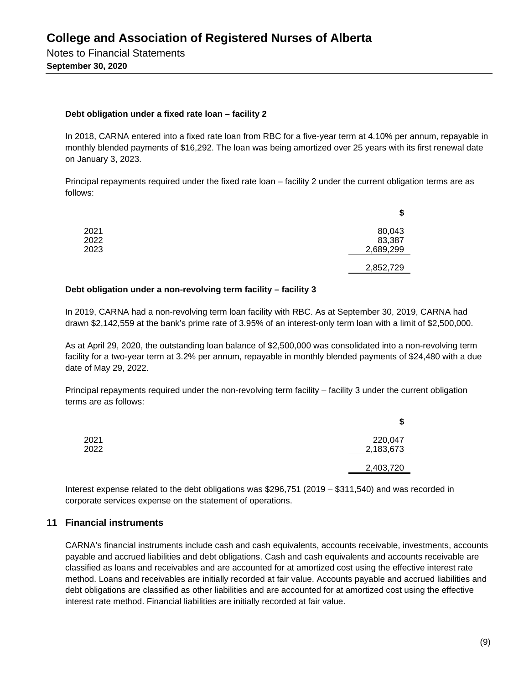#### **Debt obligation under a fixed rate loan – facility 2**

In 2018, CARNA entered into a fixed rate loan from RBC for a five-year term at 4.10% per annum, repayable in monthly blended payments of \$16,292. The loan was being amortized over 25 years with its first renewal date on January 3, 2023.

Principal repayments required under the fixed rate loan – facility 2 under the current obligation terms are as follows:

|                      | \$                            |
|----------------------|-------------------------------|
| 2021<br>2022<br>2023 | 80,043<br>83,387<br>2,689,299 |
|                      | 2,852,729                     |

#### **Debt obligation under a non-revolving term facility – facility 3**

In 2019, CARNA had a non-revolving term loan facility with RBC. As at September 30, 2019, CARNA had drawn \$2,142,559 at the bank's prime rate of 3.95% of an interest-only term loan with a limit of \$2,500,000.

As at April 29, 2020, the outstanding loan balance of \$2,500,000 was consolidated into a non-revolving term facility for a two-year term at 3.2% per annum, repayable in monthly blended payments of \$24,480 with a due date of May 29, 2022.

Principal repayments required under the non-revolving term facility – facility 3 under the current obligation terms are as follows:

|              | Þ                    |
|--------------|----------------------|
| 2021<br>2022 | 220,047<br>2,183,673 |
|              | 2,403,720            |

Interest expense related to the debt obligations was \$296,751 (2019 – \$311,540) and was recorded in corporate services expense on the statement of operations.

#### **11 Financial instruments**

CARNA's financial instruments include cash and cash equivalents, accounts receivable, investments, accounts payable and accrued liabilities and debt obligations. Cash and cash equivalents and accounts receivable are classified as loans and receivables and are accounted for at amortized cost using the effective interest rate method. Loans and receivables are initially recorded at fair value. Accounts payable and accrued liabilities and debt obligations are classified as other liabilities and are accounted for at amortized cost using the effective interest rate method. Financial liabilities are initially recorded at fair value.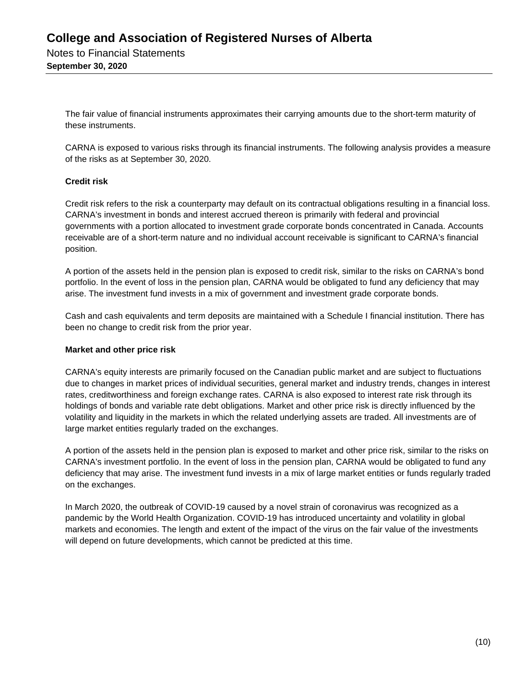**September 30, 2020** 

The fair value of financial instruments approximates their carrying amounts due to the short-term maturity of these instruments.

CARNA is exposed to various risks through its financial instruments. The following analysis provides a measure of the risks as at September 30, 2020.

#### **Credit risk**

Credit risk refers to the risk a counterparty may default on its contractual obligations resulting in a financial loss. CARNA's investment in bonds and interest accrued thereon is primarily with federal and provincial governments with a portion allocated to investment grade corporate bonds concentrated in Canada. Accounts receivable are of a short-term nature and no individual account receivable is significant to CARNA's financial position.

A portion of the assets held in the pension plan is exposed to credit risk, similar to the risks on CARNA's bond portfolio. In the event of loss in the pension plan, CARNA would be obligated to fund any deficiency that may arise. The investment fund invests in a mix of government and investment grade corporate bonds.

Cash and cash equivalents and term deposits are maintained with a Schedule I financial institution. There has been no change to credit risk from the prior year.

#### **Market and other price risk**

CARNA's equity interests are primarily focused on the Canadian public market and are subject to fluctuations due to changes in market prices of individual securities, general market and industry trends, changes in interest rates, creditworthiness and foreign exchange rates. CARNA is also exposed to interest rate risk through its holdings of bonds and variable rate debt obligations. Market and other price risk is directly influenced by the volatility and liquidity in the markets in which the related underlying assets are traded. All investments are of large market entities regularly traded on the exchanges.

A portion of the assets held in the pension plan is exposed to market and other price risk, similar to the risks on CARNA's investment portfolio. In the event of loss in the pension plan, CARNA would be obligated to fund any deficiency that may arise. The investment fund invests in a mix of large market entities or funds regularly traded on the exchanges.

In March 2020, the outbreak of COVID-19 caused by a novel strain of coronavirus was recognized as a pandemic by the World Health Organization. COVID-19 has introduced uncertainty and volatility in global markets and economies. The length and extent of the impact of the virus on the fair value of the investments will depend on future developments, which cannot be predicted at this time.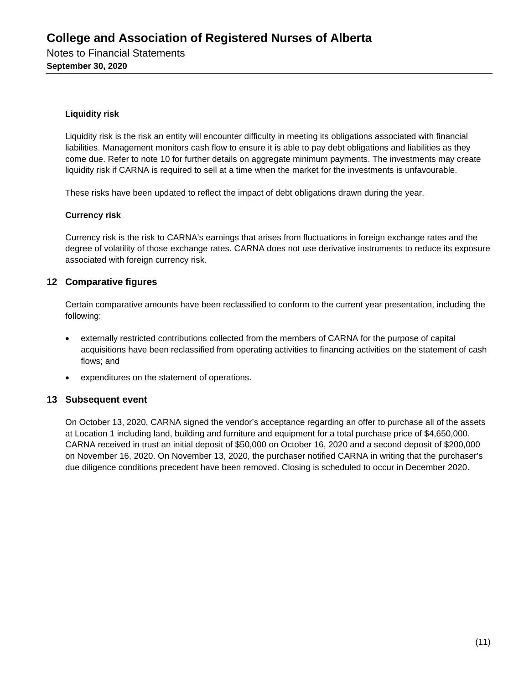#### **Liquidity risk**

Liquidity risk is the risk an entity will encounter difficulty in meeting its obligations associated with financial liabilities. Management monitors cash flow to ensure it is able to pay debt obligations and liabilities as they come due. Refer to note 10 for further details on aggregate minimum payments. The investments may create liquidity risk if CARNA is required to sell at a time when the market for the investments is unfavourable.

These risks have been updated to reflect the impact of debt obligations drawn during the year.

#### **Currency risk**

Currency risk is the risk to CARNA's earnings that arises from fluctuations in foreign exchange rates and the degree of volatility of those exchange rates. CARNA does not use derivative instruments to reduce its exposure associated with foreign currency risk.

#### **12 Comparative figures**

Certain comparative amounts have been reclassified to conform to the current year presentation, including the following:

- externally restricted contributions collected from the members of CARNA for the purpose of capital acquisitions have been reclassified from operating activities to financing activities on the statement of cash flows; and
- expenditures on the statement of operations.

#### **13 Subsequent event**

On October 13, 2020, CARNA signed the vendor's acceptance regarding an offer to purchase all of the assets at Location 1 including land, building and furniture and equipment for a total purchase price of \$4,650,000. CARNA received in trust an initial deposit of \$50,000 on October 16, 2020 and a second deposit of \$200,000 on November 16, 2020. On November 13, 2020, the purchaser notified CARNA in writing that the purchaser's due diligence conditions precedent have been removed. Closing is scheduled to occur in December 2020.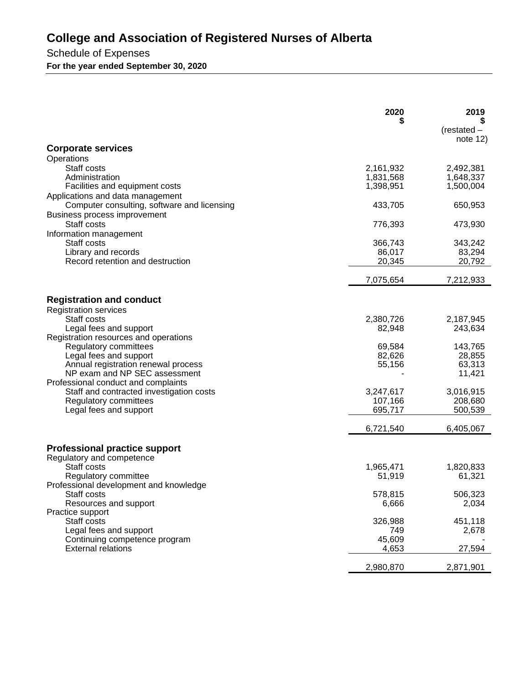Schedule of Expenses

**For the year ended September 30, 2020** 

|                                                                                                                                                                | 2020                                | 2019<br>(restated –<br>note $12$ )    |
|----------------------------------------------------------------------------------------------------------------------------------------------------------------|-------------------------------------|---------------------------------------|
| <b>Corporate services</b>                                                                                                                                      |                                     |                                       |
| Operations<br>Staff costs<br>Administration<br>Facilities and equipment costs                                                                                  | 2,161,932<br>1,831,568<br>1,398,951 | 2,492,381<br>1,648,337<br>1,500,004   |
| Applications and data management<br>Computer consulting, software and licensing                                                                                | 433,705                             | 650,953                               |
| Business process improvement<br>Staff costs                                                                                                                    | 776,393                             | 473,930                               |
| Information management<br>Staff costs<br>Library and records<br>Record retention and destruction                                                               | 366,743<br>86,017<br>20,345         | 343,242<br>83,294<br>20,792           |
|                                                                                                                                                                | 7,075,654                           | 7,212,933                             |
| <b>Registration and conduct</b><br><b>Registration services</b>                                                                                                |                                     |                                       |
| Staff costs<br>Legal fees and support<br>Registration resources and operations                                                                                 | 2,380,726<br>82,948                 | 2,187,945<br>243,634                  |
| Regulatory committees<br>Legal fees and support<br>Annual registration renewal process<br>NP exam and NP SEC assessment<br>Professional conduct and complaints | 69,584<br>82,626<br>55,156          | 143,765<br>28,855<br>63,313<br>11,421 |
| Staff and contracted investigation costs<br>Regulatory committees<br>Legal fees and support                                                                    | 3,247,617<br>107,166<br>695,717     | 3,016,915<br>208,680<br>500,539       |
|                                                                                                                                                                | 6,721,540                           | 6,405,067                             |
| <b>Professional practice support</b><br>Regulatory and competence                                                                                              |                                     |                                       |
| Staff costs<br>Regulatory committee<br>Professional development and knowledge                                                                                  | 1,965,471<br>51,919                 | 1,820,833<br>61,321                   |
| Staff costs<br>Resources and support<br>Practice support                                                                                                       | 578,815<br>6,666                    | 506,323<br>2,034                      |
| Staff costs<br>Legal fees and support                                                                                                                          | 326,988<br>749                      | 451,118<br>2,678                      |
| Continuing competence program<br><b>External relations</b>                                                                                                     | 45,609<br>4,653                     | 27,594                                |
|                                                                                                                                                                | 2,980,870                           | 2,871,901                             |